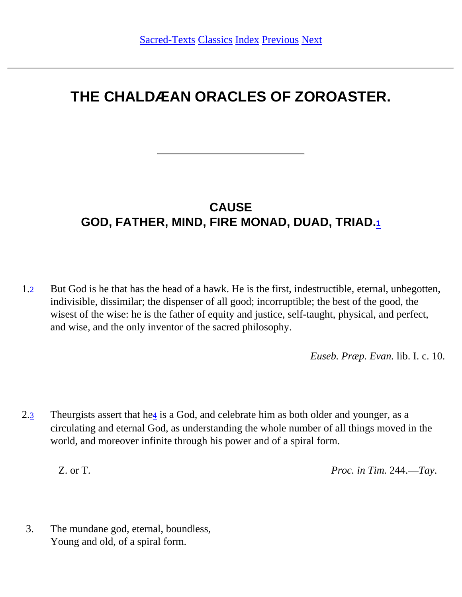# **THE CHALDÆAN ORACLES OF ZOROASTER.**

### **CAUSE GOD, FATHER, MIND, FIRE MONAD, DUAD, TRIAD.[1](#page-39-0)**

<span id="page-0-1"></span><span id="page-0-0"></span>1.[2](#page-39-1) But God is he that has the head of a hawk. He is the first, indestructible, eternal, unbegotten, indivisible, dissimilar; the dispenser of all good; incorruptible; the best of the good, the wisest of the wise: he is the father of equity and justice, self-taught, physical, and perfect, and wise, and the only inventor of the sacred philosophy.

*Euseb. Præp. Evan.* lib. I. c. 10.

<span id="page-0-2"></span>2.[3](#page-39-2) Theurgists assert that he[4](#page-39-3) is a God, and celebrate him as both older and younger, as a circulating and eternal God, as understanding the whole number of all things moved in the world, and moreover infinite through his power and of a spiral form.

Z. or T. *Proc. in Tim.* 244.—*Tay*.

3. The mundane god, eternal, boundless, Young and old, of a spiral form.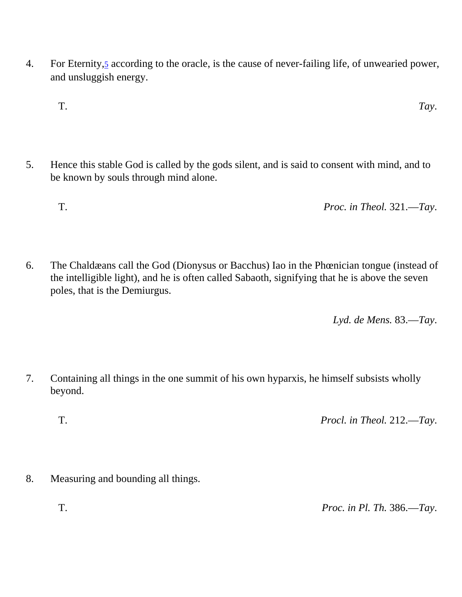- <span id="page-1-0"></span>4. For Eternity[,5](#page-40-0) according to the oracle, is the cause of never-failing life, of unwearied power, and unsluggish energy.
	- T. *Tay*.
- 5. Hence this stable God is called by the gods silent, and is said to consent with mind, and to be known by souls through mind alone.
	- T. *Proc. in Theol.* 321.—*Tay*.
- 6. The Chaldæans call the God (Dionysus or Bacchus) Iao in the Phœnician tongue (instead of the intelligible light), and he is often called Sabaoth, signifying that he is above the seven poles, that is the Demiurgus.

*Lyd. de Mens.* 83.—*Tay*.

7. Containing all things in the one summit of his own hyparxis, he himself subsists wholly beyond.

T. *Procl. in Theol.* 212.—*Tay*.

8. Measuring and bounding all things.

T. *Proc. in Pl. Th.* 386.—*Tay*.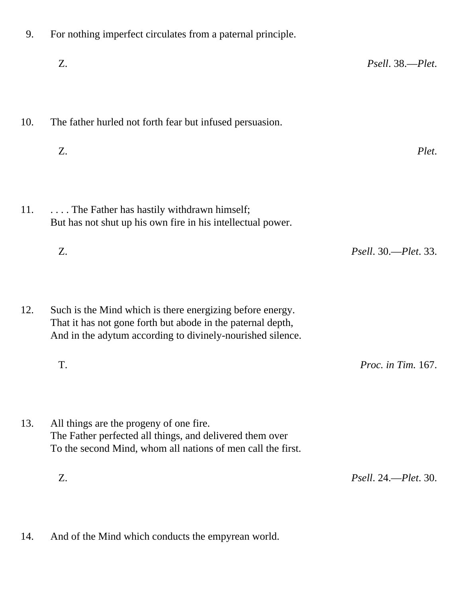- 9. For nothing imperfect circulates from a paternal principle. Z. *Psell*. 38.—*Plet*. 10. The father hurled not forth fear but infused persuasion. Z. *Plet*. 11. . . . . . The Father has hastily withdrawn himself; But has not shut up his own fire in his intellectual power. Z. *Psell*. 30.—*Plet*. 33. 12. Such is the Mind which is there energizing before energy. That it has not gone forth but abode in the paternal depth, And in the adytum according to divinely-nourished silence. T. *Proc. in Tim.* 167. 13. All things are the progeny of one fire. The Father perfected all things, and delivered them over To the second Mind, whom all nations of men call the first. Z. *Psell*. 24.—*Plet*. 30.
- 14. And of the Mind which conducts the empyrean world.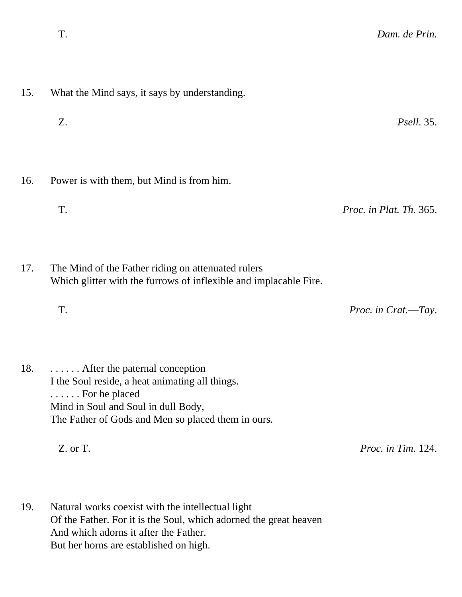| 15. | What the Mind says, it says by understanding.                                                                           |                         |  |
|-----|-------------------------------------------------------------------------------------------------------------------------|-------------------------|--|
|     | Z.                                                                                                                      | <i>Psell.</i> 35.       |  |
|     |                                                                                                                         |                         |  |
| 16. | Power is with them, but Mind is from him.                                                                               |                         |  |
|     | T.                                                                                                                      | Proc. in Plat. Th. 365. |  |
|     |                                                                                                                         |                         |  |
| 17. | The Mind of the Father riding on attenuated rulers<br>Which glitter with the furrows of inflexible and implacable Fire. |                         |  |
|     | T.                                                                                                                      | Proc. in Crat.-Tay.     |  |
|     |                                                                                                                         |                         |  |
| 1Q  | After the naternal conception                                                                                           |                         |  |

18. . . . . . . After the paternal conception I the Soul reside, a heat animating all things. . . . . . . For he placed Mind in Soul and Soul in dull Body, The Father of Gods and Men so placed them in ours.

Z. or T. *Proc. in Tim.* 124.

19. Natural works coexist with the intellectual light Of the Father. For it is the Soul, which adorned the great heaven And which adorns it after the Father. But her horns are established on high.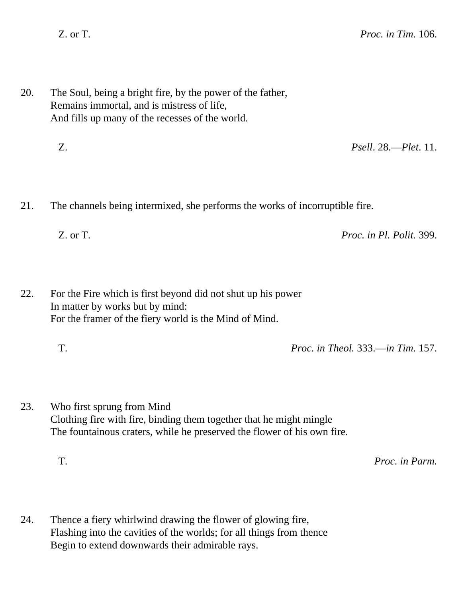- 20. The Soul, being a bright fire, by the power of the father, Remains immortal, and is mistress of life, And fills up many of the recesses of the world.
	- Z. *Psell*. 28.—*Plet*. 11.
- 21. The channels being intermixed, she performs the works of incorruptible fire.
	- Z. or T. *Proc. in Pl. Polit.* 399.

22. For the Fire which is first beyond did not shut up his power In matter by works but by mind: For the framer of the fiery world is the Mind of Mind.

- T. *Proc. in Theol.* 333.—*in Tim.* 157.
- 23. Who first sprung from Mind Clothing fire with fire, binding them together that he might mingle The fountainous craters, while he preserved the flower of his own fire.

T. *Proc. in Parm.*

24. Thence a fiery whirlwind drawing the flower of glowing fire, Flashing into the cavities of the worlds; for all things from thence Begin to extend downwards their admirable rays.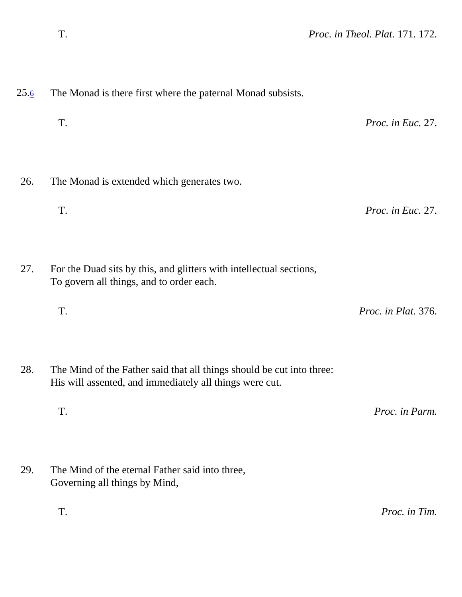| 26. | The Monad is extended which generates two.                                                                                       |                     |
|-----|----------------------------------------------------------------------------------------------------------------------------------|---------------------|
|     | T.                                                                                                                               | Proc. in Euc. 27.   |
| 27. | For the Duad sits by this, and glitters with intellectual sections,<br>To govern all things, and to order each.                  |                     |
|     | T.                                                                                                                               | Proc. in Plat. 376. |
| 28. | The Mind of the Father said that all things should be cut into three:<br>His will assented, and immediately all things were cut. |                     |
|     | T.                                                                                                                               | Proc. in Parm.      |
| 29. | The Mind of the eternal Father said into three,<br>Governing all things by Mind,                                                 |                     |
|     | T.                                                                                                                               | Proc. in Tim.       |

T. *Proc. in Euc.* 27.

<span id="page-5-0"></span> $25.\overline{6}$  $25.\overline{6}$  $25.\overline{6}$  The Monad is there first where the paternal Monad subsists.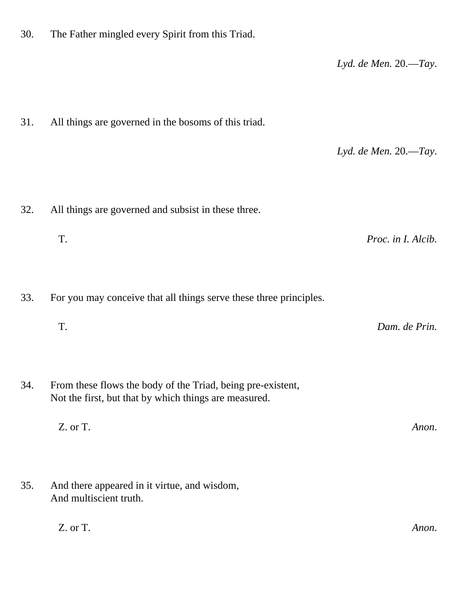*Lyd. de Men.* 20.—*Tay*. 31. All things are governed in the bosoms of this triad. *Lyd. de Men.* 20.—*Tay*. 32. All things are governed and subsist in these three. T. *Proc. in I. Alcib.* 33. For you may conceive that all things serve these three principles. T. *Dam. de Prin.* 34. From these flows the body of the Triad, being pre-existent, Not the first, but that by which things are measured. Z. or T. *Anon*. 35. And there appeared in it virtue, and wisdom, And multiscient truth. Z. or T. *Anon*.

30. The Father mingled every Spirit from this Triad.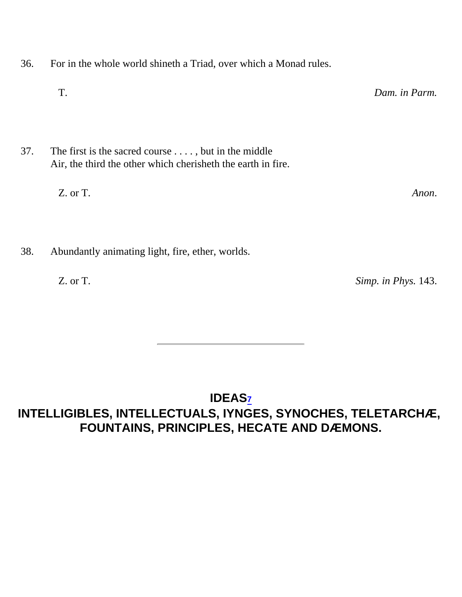- 36. For in the whole world shineth a Triad, over which a Monad rules.
	- T. *Dam. in Parm.*
- 37. The first is the sacred course . . . . , but in the middle Air, the third the other which cherisheth the earth in fire.
	- Z. or T. *Anon*.
- 38. Abundantly animating light, fire, ether, worlds.
	-

Z. or T. *Simp. in Phys.* 143.

### <span id="page-7-0"></span>**IDEAS[7](#page-40-2) INTELLIGIBLES, INTELLECTUALS, IYNGES, SYNOCHES, TELETARCHÆ, FOUNTAINS, PRINCIPLES, HECATE AND DÆMONS.**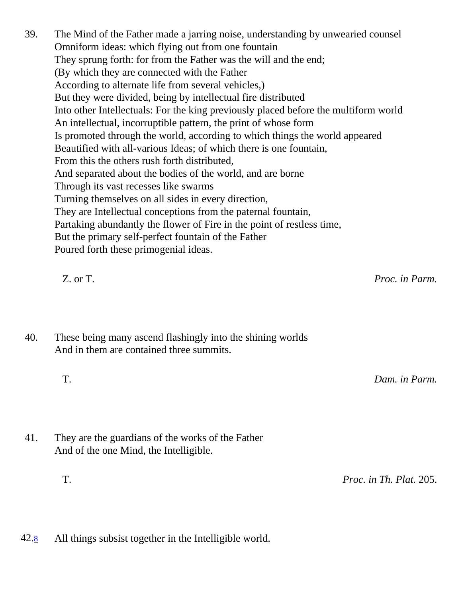39. The Mind of the Father made a jarring noise, understanding by unwearied counsel Omniform ideas: which flying out from one fountain They sprung forth: for from the Father was the will and the end; (By which they are connected with the Father According to alternate life from several vehicles,) But they were divided, being by intellectual fire distributed Into other Intellectuals: For the king previously placed before the multiform world An intellectual, incorruptible pattern, the print of whose form Is promoted through the world, according to which things the world appeared Beautified with all-various Ideas; of which there is one fountain, From this the others rush forth distributed, And separated about the bodies of the world, and are borne Through its vast recesses like swarms Turning themselves on all sides in every direction, They are Intellectual conceptions from the paternal fountain, Partaking abundantly the flower of Fire in the point of restless time, But the primary self-perfect fountain of the Father Poured forth these primogenial ideas.

Z. or T. *Proc. in Parm.*

40. These being many ascend flashingly into the shining worlds And in them are contained three summits.

T. *Dam. in Parm.*

41. They are the guardians of the works of the Father And of the one Mind, the Intelligible.

T. *Proc. in Th. Plat.* 205.

<span id="page-8-0"></span>42.[8](#page-40-3) All things subsist together in the Intelligible world.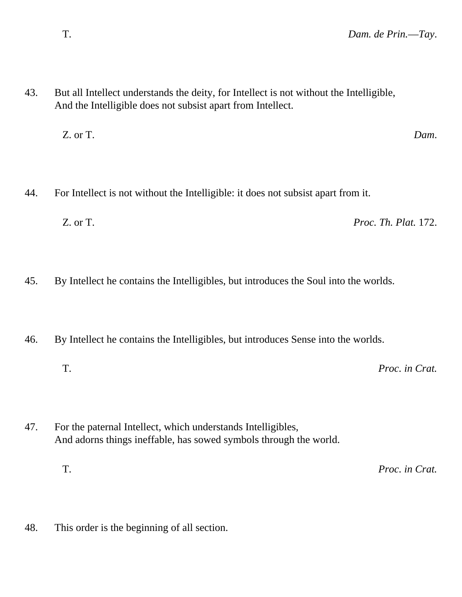- 43. But all Intellect understands the deity, for Intellect is not without the Intelligible, And the Intelligible does not subsist apart from Intellect.
	- Z. or T. *Dam*.
- 44. For Intellect is not without the Intelligible: it does not subsist apart from it.
	- Z. or T. *Proc. Th. Plat.* 172.
- 45. By Intellect he contains the Intelligibles, but introduces the Soul into the worlds.
- 46. By Intellect he contains the Intelligibles, but introduces Sense into the worlds.
	- T. *Proc. in Crat.*
- 47. For the paternal Intellect, which understands Intelligibles, And adorns things ineffable, has sowed symbols through the world.
	- T. *Proc. in Crat.*
- 48. This order is the beginning of all section.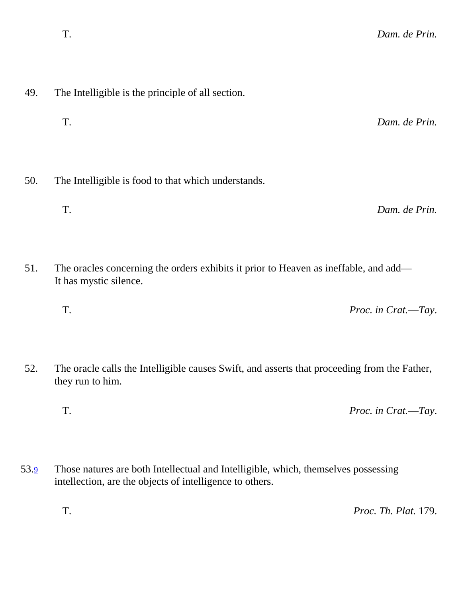- 49. The Intelligible is the principle of all section.
	- T. *Dam. de Prin.*
- 50. The Intelligible is food to that which understands.
	- T. *Dam. de Prin.*
- 51. The oracles concerning the orders exhibits it prior to Heaven as ineffable, and add— It has mystic silence.
	- T. *Proc. in Crat.*—*Tay*.
- 52. The oracle calls the Intelligible causes Swift, and asserts that proceeding from the Father, they run to him.
	- T. *Proc. in Crat.*—*Tay*.
- <span id="page-10-0"></span>53.[9](#page-40-4) Those natures are both Intellectual and Intelligible, which, themselves possessing intellection, are the objects of intelligence to others.

T. *Proc. Th. Plat.* 179.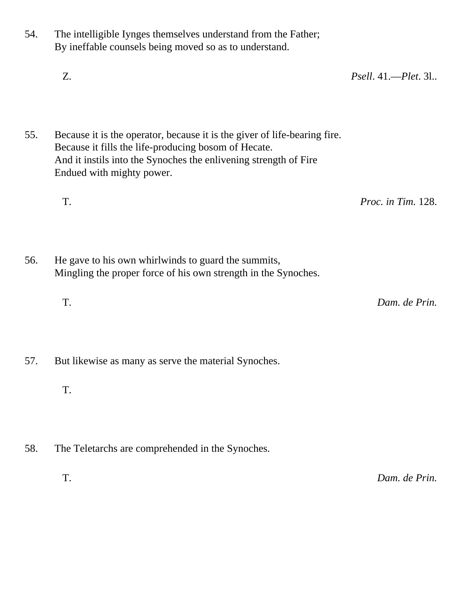- 54. The intelligible Iynges themselves understand from the Father; By ineffable counsels being moved so as to understand. Z. *Psell*. 41.—*Plet*. 3l.. 55. Because it is the operator, because it is the giver of life-bearing fire. Because it fills the life-producing bosom of Hecate. And it instils into the Synoches the enlivening strength of Fire Endued with mighty power. T. *Proc. in Tim.* 128. 56. He gave to his own whirlwinds to guard the summits, Mingling the proper force of his own strength in the Synoches. T. *Dam. de Prin.* 57. But likewise as many as serve the material Synoches. T.
- 58. The Teletarchs are comprehended in the Synoches.
	- T. *Dam. de Prin.*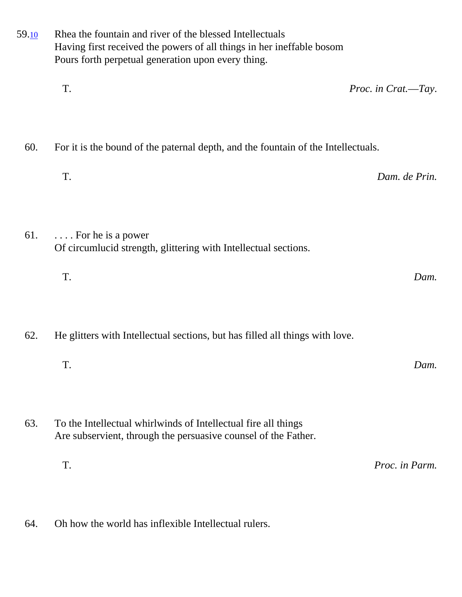| T.<br>60.<br>For it is the bound of the paternal depth, and the fountain of the Intellectuals.                                          |                     |  |
|-----------------------------------------------------------------------------------------------------------------------------------------|---------------------|--|
|                                                                                                                                         | Proc. in Crat.-Tay. |  |
|                                                                                                                                         |                     |  |
| T.                                                                                                                                      | Dam. de Prin.       |  |
| 61.<br>$\ldots$ . For he is a power<br>Of circumlucid strength, glittering with Intellectual sections.                                  |                     |  |
| T.                                                                                                                                      | Dam.                |  |
| 62.<br>He glitters with Intellectual sections, but has filled all things with love.                                                     |                     |  |
| T.                                                                                                                                      | Dam.                |  |
| 63.<br>To the Intellectual whirlwinds of Intellectual fire all things<br>Are subservient, through the persuasive counsel of the Father. |                     |  |
| T.                                                                                                                                      | Proc. in Parm.      |  |

64. Oh how the world has inflexible Intellectual rulers.

<span id="page-12-0"></span>59.[10](#page-40-5) Rhea the fountain and river of the blessed Intellectuals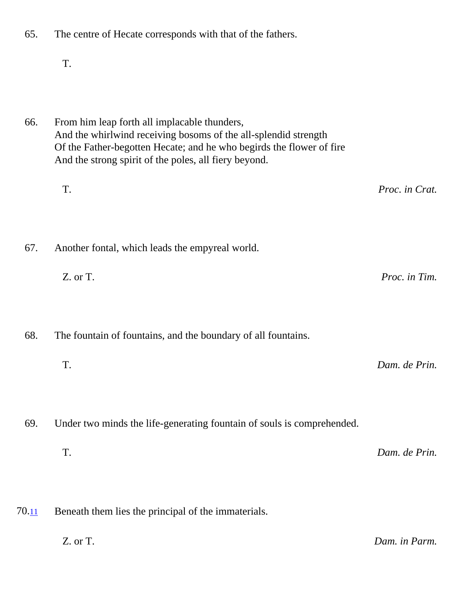T. 66. From him leap forth all implacable thunders, And the whirlwind receiving bosoms of the all-splendid strength Of the Father-begotten Hecate; and he who begirds the flower of fire And the strong spirit of the poles, all fiery beyond. T. *Proc. in Crat.* 67. Another fontal, which leads the empyreal world. Z. or T. *Proc. in Tim.* 68. The fountain of fountains, and the boundary of all fountains. T. *Dam. de Prin.* 69. Under two minds the life-generating fountain of souls is comprehended. T. *Dam. de Prin.*  $70.11$  $70.11$  Beneath them lies the principal of the immaterials.

65. The centre of Hecate corresponds with that of the fathers.

<span id="page-13-0"></span>

Z. or T. *Dam. in Parm.*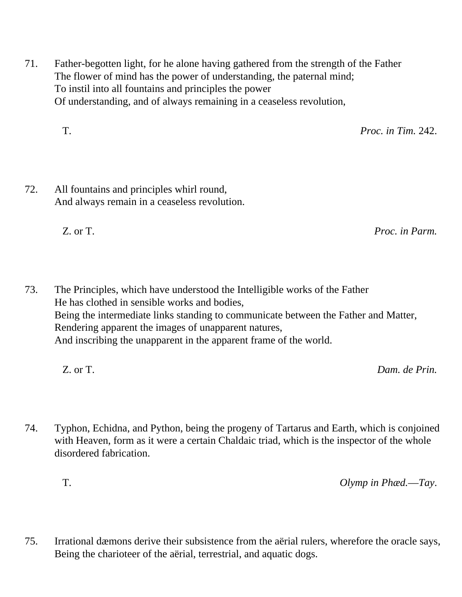71. Father-begotten light, for he alone having gathered from the strength of the Father The flower of mind has the power of understanding, the paternal mind; To instil into all fountains and principles the power Of understanding, and of always remaining in a ceaseless revolution,

T. *Proc. in Tim.* 242.

72. All fountains and principles whirl round, And always remain in a ceaseless revolution.

Z. or T. *Proc. in Parm.*

- 73. The Principles, which have understood the Intelligible works of the Father He has clothed in sensible works and bodies, Being the intermediate links standing to communicate between the Father and Matter, Rendering apparent the images of unapparent natures, And inscribing the unapparent in the apparent frame of the world.
	- Z. or T. *Dam. de Prin.*
- 74. Typhon, Echidna, and Python, being the progeny of Tartarus and Earth, which is conjoined with Heaven, form as it were a certain Chaldaic triad, which is the inspector of the whole disordered fabrication.

T. *Olymp in Phæd.*—*Tay*.

75. Irrational dæmons derive their subsistence from the aërial rulers, wherefore the oracle says, Being the charioteer of the aërial, terrestrial, and aquatic dogs.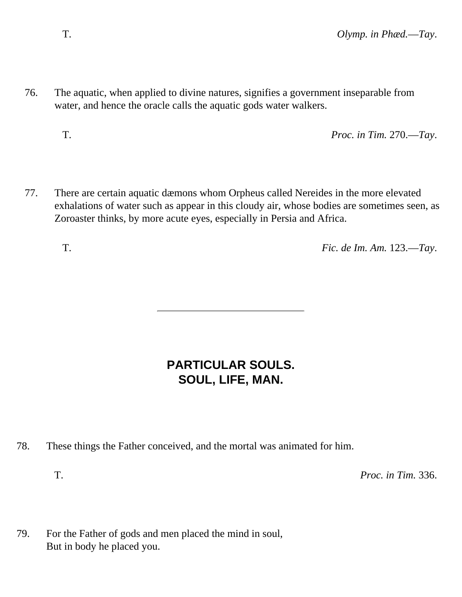76. The aquatic, when applied to divine natures, signifies a government inseparable from water, and hence the oracle calls the aquatic gods water walkers.

T. *Proc. in Tim.* 270.—*Tay*.

77. There are certain aquatic dæmons whom Orpheus called Nereides in the more elevated exhalations of water such as appear in this cloudy air, whose bodies are sometimes seen, as Zoroaster thinks, by more acute eyes, especially in Persia and Africa.

T. *Fic. de Im. Am.* 123.—*Tay*.

### **PARTICULAR SOULS. SOUL, LIFE, MAN.**

- 78. These things the Father conceived, and the mortal was animated for him.
	-

T. *Proc. in Tim.* 336.

79. For the Father of gods and men placed the mind in soul, But in body he placed you.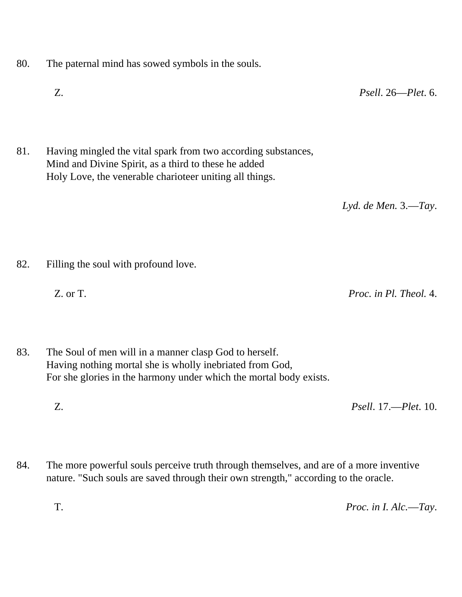- 80. The paternal mind has sowed symbols in the souls.
	- Z. *Psell*. 26—*Plet*. 6.
- 81. Having mingled the vital spark from two according substances, Mind and Divine Spirit, as a third to these he added Holy Love, the venerable charioteer uniting all things.

*Lyd. de Men.* 3.—*Tay*.

82. Filling the soul with profound love.

Z. or T. *Proc. in Pl. Theol.* 4.

- 83. The Soul of men will in a manner clasp God to herself. Having nothing mortal she is wholly inebriated from God, For she glories in the harmony under which the mortal body exists.
	- Z. *Psell*. 17.—*Plet*. 10.
- 84. The more powerful souls perceive truth through themselves, and are of a more inventive nature. "Such souls are saved through their own strength," according to the oracle.

T. *Proc. in I. Alc.*—*Tay*.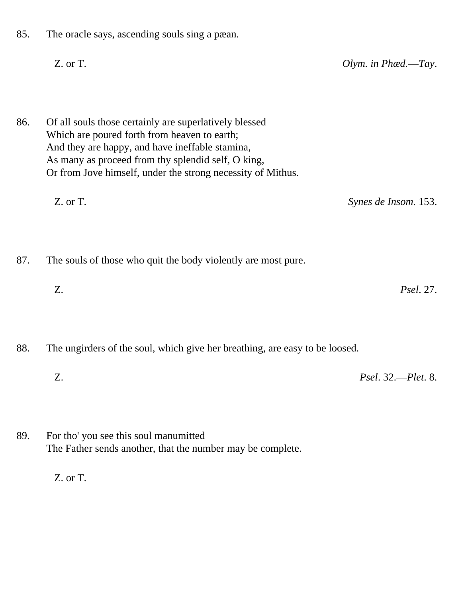85. The oracle says, ascending souls sing a pæan.

Z. or T. *Olym. in Phæd.*—*Tay*.

86. Of all souls those certainly are superlatively blessed Which are poured forth from heaven to earth; And they are happy, and have ineffable stamina, As many as proceed from thy splendid self, O king, Or from Jove himself, under the strong necessity of Mithus.

Z. or T. *Synes de Insom.* 153.

87. The souls of those who quit the body violently are most pure.

Z. *Psel*. 27.

88. The ungirders of the soul, which give her breathing, are easy to be loosed.

Z. *Psel*. 32.—*Plet*. 8.

89. For tho' you see this soul manumitted The Father sends another, that the number may be complete.

Z. or T.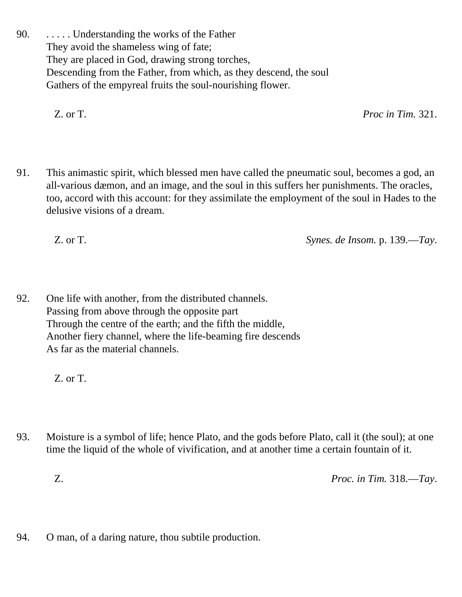90. . . . . . Understanding the works of the Father They avoid the shameless wing of fate; They are placed in God, drawing strong torches, Descending from the Father, from which, as they descend, the soul Gathers of the empyreal fruits the soul-nourishing flower.

Z. or T. *Proc in Tim.* 321.

91. This animastic spirit, which blessed men have called the pneumatic soul, becomes a god, an all-various dæmon, and an image, and the soul in this suffers her punishments. The oracles, too, accord with this account: for they assimilate the employment of the soul in Hades to the delusive visions of a dream.

Z. or T. *Synes. de Insom.* p. 139.—*Tay*.

92. One life with another, from the distributed channels. Passing from above through the opposite part Through the centre of the earth; and the fifth the middle, Another fiery channel, where the life-beaming fire descends As far as the material channels.

Z. or T.

93. Moisture is a symbol of life; hence Plato, and the gods before Plato, call it (the soul); at one time the liquid of the whole of vivification, and at another time a certain fountain of it.

Z. *Proc. in Tim.* 318.—*Tay*.

94. O man, of a daring nature, thou subtile production.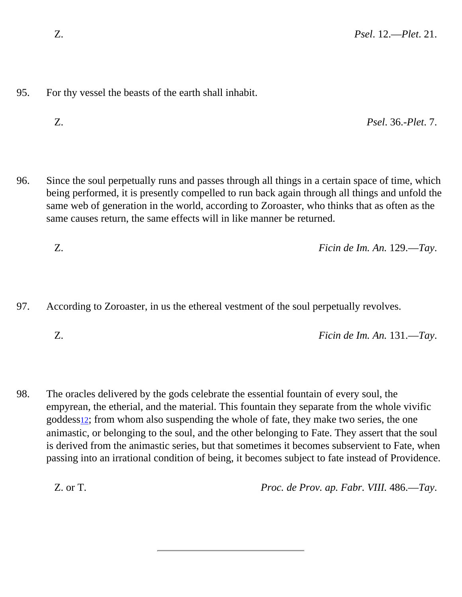- 95. For thy vessel the beasts of the earth shall inhabit.
	- Z. *Psel*. 36.-*Plet*. 7.
- 96. Since the soul perpetually runs and passes through all things in a certain space of time, which being performed, it is presently compelled to run back again through all things and unfold the same web of generation in the world, according to Zoroaster, who thinks that as often as the same causes return, the same effects will in like manner be returned.

Z. *Ficin de Im. An.* 129.—*Tay*.

97. According to Zoroaster, in us the ethereal vestment of the soul perpetually revolves.

Z. *Ficin de Im. An.* 131.—*Tay*.

<span id="page-19-0"></span>98. The oracles delivered by the gods celebrate the essential fountain of every soul, the empyrean, the etherial, and the material. This fountain they separate from the whole vivific goddess[12](#page-40-7); from whom also suspending the whole of fate, they make two series, the one animastic, or belonging to the soul, and the other belonging to Fate. They assert that the soul is derived from the animastic series, but that sometimes it becomes subservient to Fate, when passing into an irrational condition of being, it becomes subject to fate instead of Providence.

Z. or T. *Proc. de Prov. ap. Fabr. VIII.* 486.—*Tay*.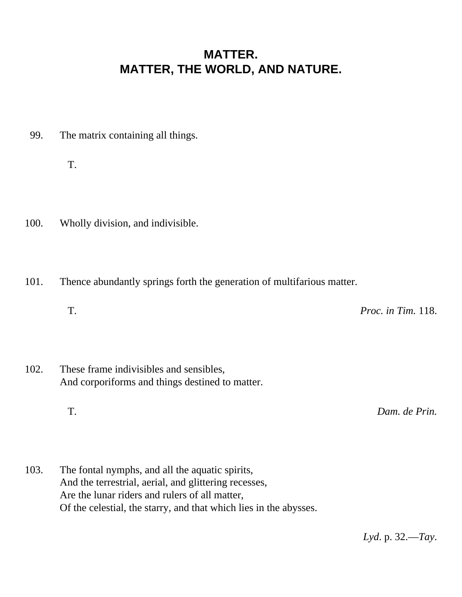#### **MATTER. MATTER, THE WORLD, AND NATURE.**

99. The matrix containing all things.

T.

- 100. Wholly division, and indivisible.
- 101. Thence abundantly springs forth the generation of multifarious matter.
	- T. *Proc. in Tim.* 118.
- 102. These frame indivisibles and sensibles, And corporiforms and things destined to matter.

T. *Dam. de Prin.*

103. The fontal nymphs, and all the aquatic spirits, And the terrestrial, aerial, and glittering recesses, Are the lunar riders and rulers of all matter, Of the celestial, the starry, and that which lies in the abysses.

*Lyd*. p. 32.—*Tay*.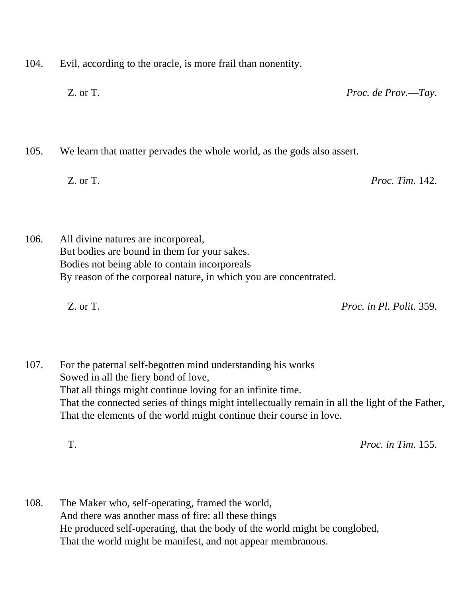104. Evil, according to the oracle, is more frail than nonentity.

Z. or T. *Proc. de Prov.*—*Tay*.

105. We learn that matter pervades the whole world, as the gods also assert.

Z. or T. *Proc. Tim.* 142.

106. All divine natures are incorporeal, But bodies are bound in them for your sakes. Bodies not being able to contain incorporeals By reason of the corporeal nature, in which you are concentrated.

Z. or T. *Proc. in Pl. Polit.* 359.

107. For the paternal self-begotten mind understanding his works Sowed in all the fiery bond of love, That all things might continue loving for an infinite time. That the connected series of things might intellectually remain in all the light of the Father, That the elements of the world might continue their course in love.

T. *Proc. in Tim.* 155.

108. The Maker who, self-operating, framed the world, And there was another mass of fire: all these things He produced self-operating, that the body of the world might be conglobed, That the world might be manifest, and not appear membranous.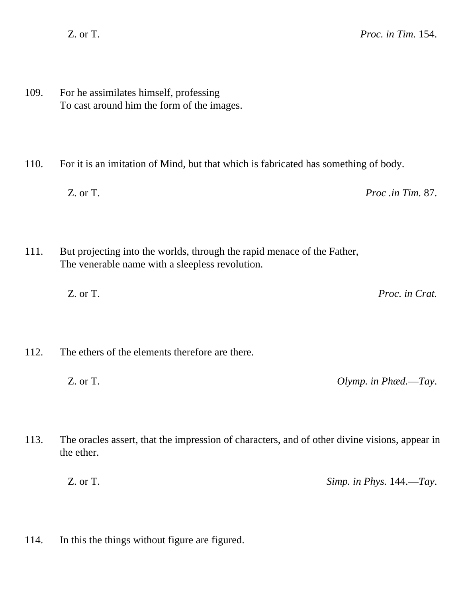109. For he assimilates himself, professing To cast around him the form of the images.

110. For it is an imitation of Mind, but that which is fabricated has something of body.

Z. or T. *Proc .in Tim.* 87.

- 111. But projecting into the worlds, through the rapid menace of the Father, The venerable name with a sleepless revolution.
	- Z. or T. *Proc. in Crat.*
- 112. The ethers of the elements therefore are there.
	- Z. or T. *Olymp. in Phæd.*—*Tay*.

113. The oracles assert, that the impression of characters, and of other divine visions, appear in the ether.

Z. or T. *Simp. in Phys.* 144.—*Tay*.

114. In this the things without figure are figured.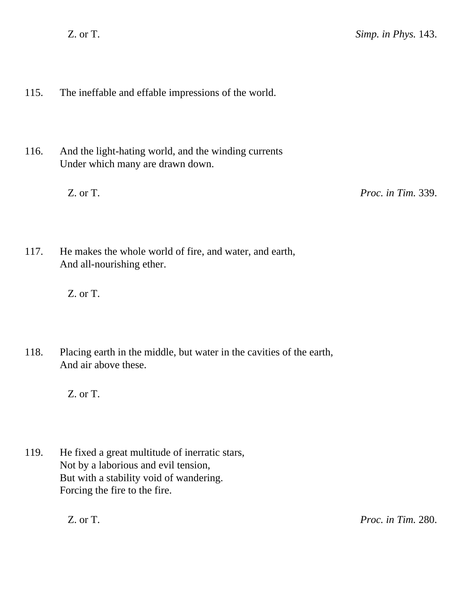- 115. The ineffable and effable impressions of the world.
- 116. And the light-hating world, and the winding currents Under which many are drawn down.

Z. or T. *Proc. in Tim.* 339.

117. He makes the whole world of fire, and water, and earth, And all-nourishing ether.

Z. or T.

118. Placing earth in the middle, but water in the cavities of the earth, And air above these.

Z. or T.

119. He fixed a great multitude of inerratic stars, Not by a laborious and evil tension, But with a stability void of wandering. Forcing the fire to the fire.

Z. or T. *Proc. in Tim.* 280.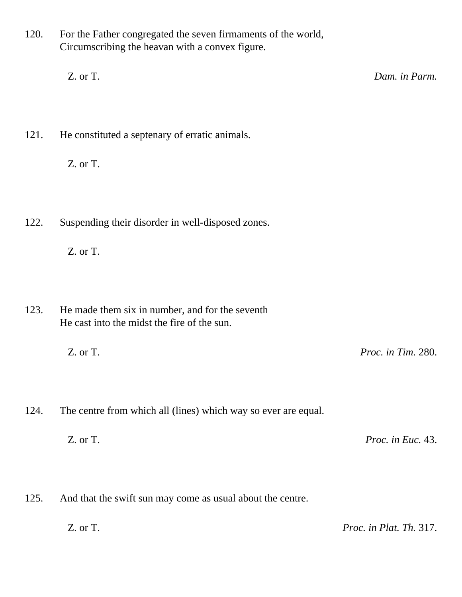120. For the Father congregated the seven firmaments of the world, Circumscribing the heavan with a convex figure.

Z. or T. *Dam. in Parm.*

121. He constituted a septenary of erratic animals.

Z. or T.

122. Suspending their disorder in well-disposed zones.

Z. or T.

123. He made them six in number, and for the seventh He cast into the midst the fire of the sun.

Z. or T. *Proc. in Tim.* 280.

124. The centre from which all (lines) which way so ever are equal.

Z. or T. *Proc. in Euc.* 43.

125. And that the swift sun may come as usual about the centre.

Z. or T. *Proc. in Plat. Th.* 317.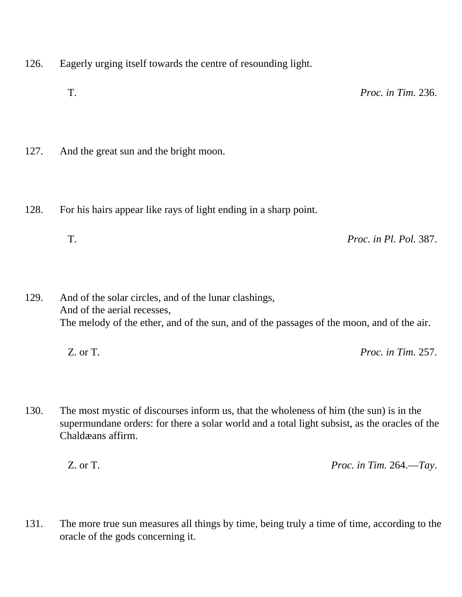- 126. Eagerly urging itself towards the centre of resounding light.
	- T. *Proc. in Tim.* 236.
- 127. And the great sun and the bright moon.
- 128. For his hairs appear like rays of light ending in a sharp point.
	- T. *Proc. in Pl. Pol.* 387.

129. And of the solar circles, and of the lunar clashings, And of the aerial recesses, The melody of the ether, and of the sun, and of the passages of the moon, and of the air.

| Z. or T. | <i>Proc. in Tim. 257.</i> |
|----------|---------------------------|
|----------|---------------------------|

130. The most mystic of discourses inform us, that the wholeness of him (the sun) is in the supermundane orders: for there a solar world and a total light subsist, as the oracles of the Chaldæans affirm.

Z. or T. *Proc. in Tim.* 264.—*Tay*.

131. The more true sun measures all things by time, being truly a time of time, according to the oracle of the gods concerning it.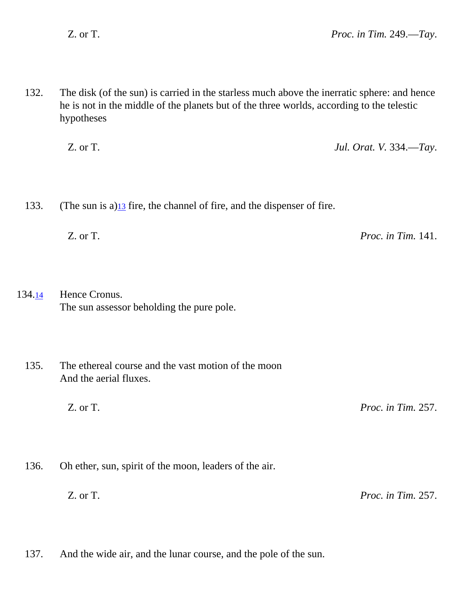132. The disk (of the sun) is carried in the starless much above the inerratic sphere: and hence he is not in the middle of the planets but of the three worlds, according to the telestic hypotheses

Z. or T. *Jul. Orat. V.* 334.—*Tay*.

<span id="page-26-0"></span>133. (The sun is a) $\frac{13}{13}$  fire, the channel of fire, and the dispenser of fire.

Z. or T. *Proc. in Tim.* 141.

<span id="page-26-1"></span>134[.14](#page-41-1) Hence Cronus. The sun assessor beholding the pure pole.

135. The ethereal course and the vast motion of the moon And the aerial fluxes.

Z. or T. *Proc. in Tim.* 257.

136. Oh ether, sun, spirit of the moon, leaders of the air.

Z. or T. *Proc. in Tim.* 257.

137. And the wide air, and the lunar course, and the pole of the sun.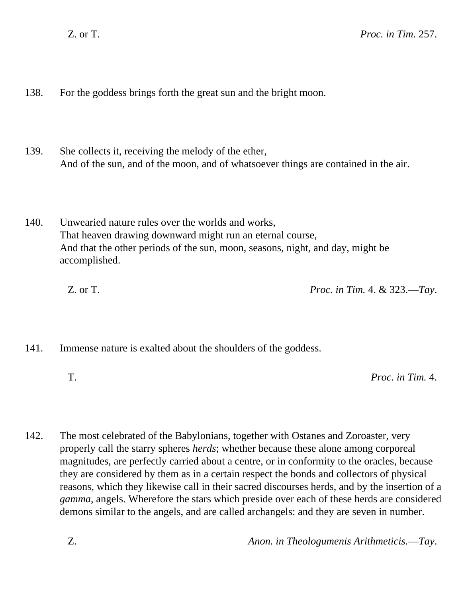138. For the goddess brings forth the great sun and the bright moon.

- 139. She collects it, receiving the melody of the ether, And of the sun, and of the moon, and of whatsoever things are contained in the air.
- 140. Unwearied nature rules over the worlds and works, That heaven drawing downward might run an eternal course, And that the other periods of the sun, moon, seasons, night, and day, might be accomplished.

Z. or T. *Proc. in Tim.* 4. & 323.—*Tay*.

- 141. Immense nature is exalted about the shoulders of the goddess.
	-

T. *Proc. in Tim.* 4.

142. The most celebrated of the Babylonians, together with Ostanes and Zoroaster, very properly call the starry spheres *herds*; whether because these alone among corporeal magnitudes, are perfectly carried about a centre, or in conformity to the oracles, because they are considered by them as in a certain respect the bonds and collectors of physical reasons, which they likewise call in their sacred discourses herds, and by the insertion of a *gamma*, angels. Wherefore the stars which preside over each of these herds are considered demons similar to the angels, and are called archangels: and they are seven in number.

Z. *Anon. in Theologumenis Arithmeticis.*—*Tay*.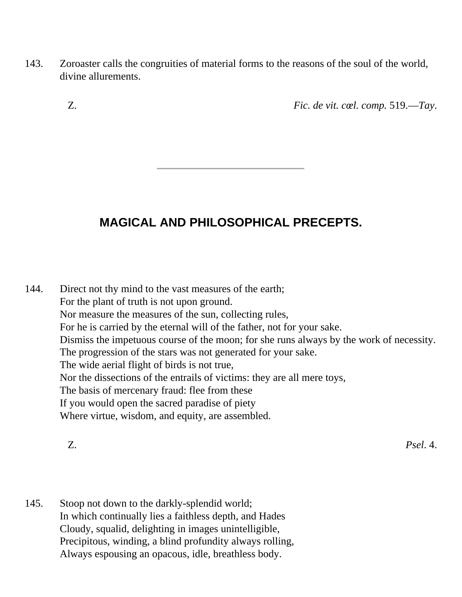- 143. Zoroaster calls the congruities of material forms to the reasons of the soul of the world, divine allurements.
	-

Z. *Fic. de vit. cœl. comp.* 519.—*Tay*.

## **MAGICAL AND PHILOSOPHICAL PRECEPTS.**

144. Direct not thy mind to the vast measures of the earth; For the plant of truth is not upon ground. Nor measure the measures of the sun, collecting rules, For he is carried by the eternal will of the father, not for your sake. Dismiss the impetuous course of the moon; for she runs always by the work of necessity. The progression of the stars was not generated for your sake. The wide aerial flight of birds is not true, Nor the dissections of the entrails of victims: they are all mere toys, The basis of mercenary fraud: flee from these If you would open the sacred paradise of piety Where virtue, wisdom, and equity, are assembled.

Z. *Psel*. 4.

145. Stoop not down to the darkly-splendid world; In which continually lies a faithless depth, and Hades Cloudy, squalid, delighting in images unintelligible, Precipitous, winding, a blind profundity always rolling, Always espousing an opacous, idle, breathless body.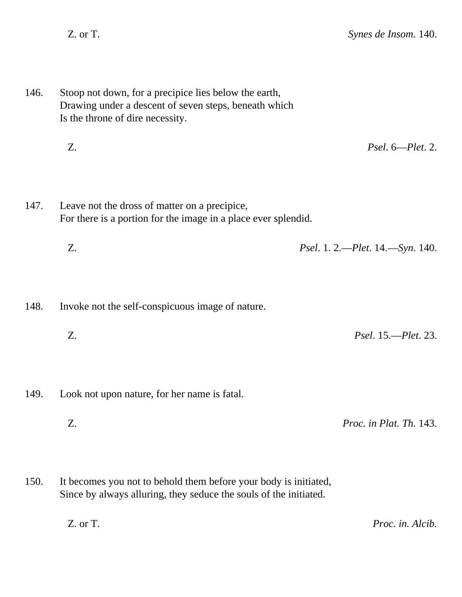- 146. Stoop not down, for a precipice lies below the earth, Drawing under a descent of seven steps, beneath which Is the throne of dire necessity.
	- Z. *Psel*. 6—*Plet*. 2.
- 147. Leave not the dross of matter on a precipice, For there is a portion for the image in a place ever splendid.
	- Z. *Psel*. 1. 2.—*Plet*. 14.—*Syn*. 140.
- 148. Invoke not the self-conspicuous image of nature.
	- Z. *Psel*. 15.—*Plet*. 23.
- 149. Look not upon nature, for her name is fatal.
	- Z. *Proc. in Plat. Th.* 143.
- 150. It becomes you not to behold them before your body is initiated, Since by always alluring, they seduce the souls of the initiated.

Z. or T. *Proc. in. Alcib.*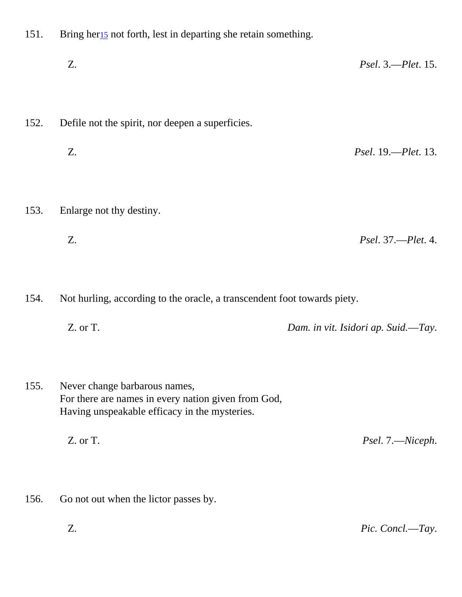- <span id="page-30-0"></span>151. Bring her[15](#page-41-2) not forth, lest in departing she retain something.
	- Z. *Psel*. 3.—*Plet*. 15.
- 152. Defile not the spirit, nor deepen a superficies.
	- Z. *Psel*. 19.—*Plet*. 13.
- 153. Enlarge not thy destiny.
	- Z. *Psel*. 37.—*Plet*. 4.

154. Not hurling, according to the oracle, a transcendent foot towards piety.

- Z. or T. *Dam. in vit. Isidori ap. Suid.*—*Tay*.
- 155. Never change barbarous names, For there are names in every nation given from God, Having unspeakable efficacy in the mysteries.

Z. or T. *Psel*. 7.—*Niceph*.

156. Go not out when the lictor passes by.

Z. *Pic. Concl.*—*Tay*.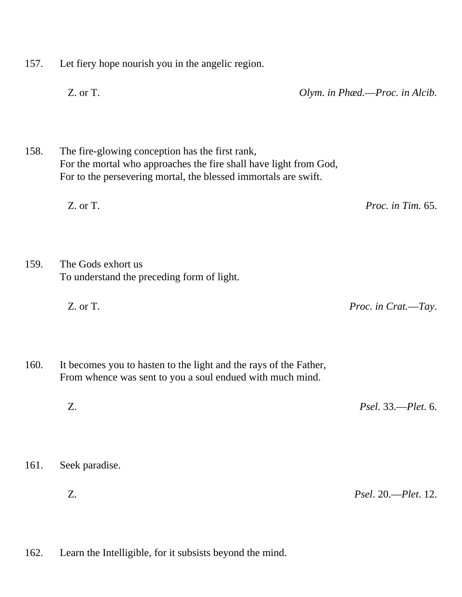- 157. Let fiery hope nourish you in the angelic region.
	-

Z. or T. *Olym. in Phæd.*—*Proc. in Alcib.*

158. The fire-glowing conception has the first rank, For the mortal who approaches the fire shall have light from God, For to the persevering mortal, the blessed immortals are swift.

Z. or T. *Proc. in Tim.* 65.

159. The Gods exhort us To understand the preceding form of light.

Z. or T. *Proc. in Crat.*—*Tay*.

- 160. It becomes you to hasten to the light and the rays of the Father, From whence was sent to you a soul endued with much mind.
	- Z. *Psel*. 33.—*Plet*. 6.
- 161. Seek paradise.
	- Z. *Psel*. 20.—*Plet*. 12.
- 162. Learn the Intelligible, for it subsists beyond the mind.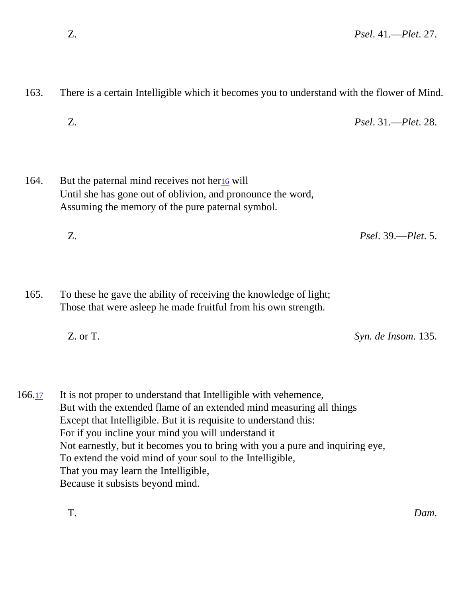- 163. There is a certain Intelligible which it becomes you to understand with the flower of Mind.
	- Z. *Psel*. 31.—*Plet*. 28.

<span id="page-32-0"></span>164. But the paternal mind receives not her $\frac{16}{16}$  will Until she has gone out of oblivion, and pronounce the word, Assuming the memory of the pure paternal symbol.

Z. *Psel*. 39.—*Plet*. 5.

165. To these he gave the ability of receiving the knowledge of light; Those that were asleep he made fruitful from his own strength.

Z. or T. *Syn. de Insom.* 135.

<span id="page-32-1"></span>166.<sub>17</sub> It is not proper to understand that Intelligible with vehemence, But with the extended flame of an extended mind measuring all things Except that Intelligible. But it is requisite to understand this: For if you incline your mind you will understand it Not earnestly, but it becomes you to bring with you a pure and inquiring eye, To extend the void mind of your soul to the Intelligible, That you may learn the Intelligible, Because it subsists beyond mind.

T. *Dam*.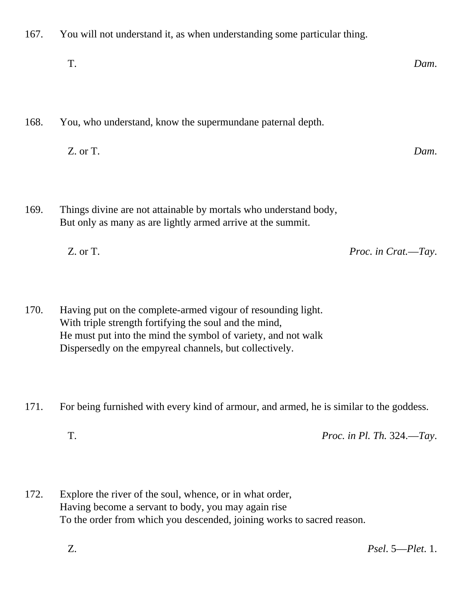- 167. You will not understand it, as when understanding some particular thing.
	- T. *Dam*.

168. You, who understand, know the supermundane paternal depth.

Z. or T. *Dam*.

169. Things divine are not attainable by mortals who understand body, But only as many as are lightly armed arrive at the summit.

Z. or T. *Proc. in Crat.*—*Tay*.

170. Having put on the complete-armed vigour of resounding light. With triple strength fortifying the soul and the mind, He must put into the mind the symbol of variety, and not walk Dispersedly on the empyreal channels, but collectively.

171. For being furnished with every kind of armour, and armed, he is similar to the goddess.

T. *Proc. in Pl. Th.* 324.—*Tay*.

172. Explore the river of the soul, whence, or in what order, Having become a servant to body, you may again rise To the order from which you descended, joining works to sacred reason.

Z. *Psel*. 5—*Plet*. 1.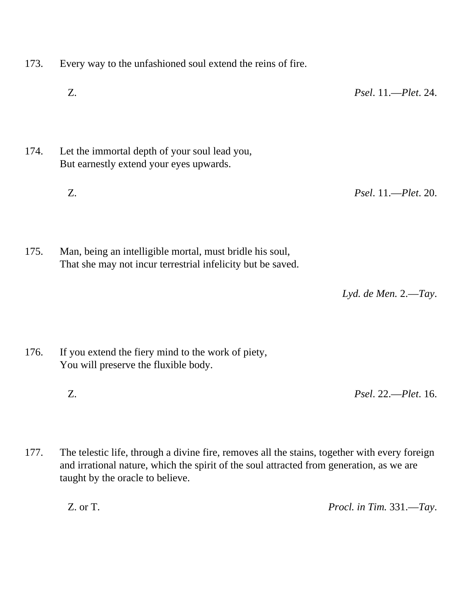- 173. Every way to the unfashioned soul extend the reins of fire.
	- Z. *Psel*. 11.—*Plet*. 24.
- 174. Let the immortal depth of your soul lead you, But earnestly extend your eyes upwards.
	- Z. *Psel*. 11.—*Plet*. 20.
- 175. Man, being an intelligible mortal, must bridle his soul, That she may not incur terrestrial infelicity but be saved.

*Lyd. de Men.* 2.—*Tay*.

- 176. If you extend the fiery mind to the work of piety, You will preserve the fluxible body.
	- Z. *Psel*. 22.—*Plet*. 16.
- 177. The telestic life, through a divine fire, removes all the stains, together with every foreign and irrational nature, which the spirit of the soul attracted from generation, as we are taught by the oracle to believe.

Z. or T. *Procl. in Tim.* 331.—*Tay*.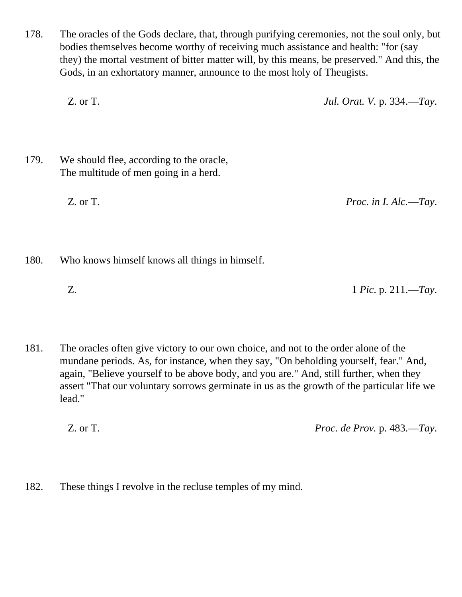178. The oracles of the Gods declare, that, through purifying ceremonies, not the soul only, but bodies themselves become worthy of receiving much assistance and health: "for (say they) the mortal vestment of bitter matter will, by this means, be preserved." And this, the Gods, in an exhortatory manner, announce to the most holy of Theugists.

Z. or T. *Jul. Orat. V.* p. 334.—*Tay*.

179. We should flee, according to the oracle, The multitude of men going in a herd.

Z. or T. *Proc. in I. Alc.*—*Tay*.

180. Who knows himself knows all things in himself.

Z. 1 *Pic*. p. 211.—*Tay*.

181. The oracles often give victory to our own choice, and not to the order alone of the mundane periods. As, for instance, when they say, "On beholding yourself, fear." And, again, "Believe yourself to be above body, and you are." And, still further, when they assert "That our voluntary sorrows germinate in us as the growth of the particular life we lead."

Z. or T. *Proc. de Prov.* p. 483.—*Tay*.

182. These things I revolve in the recluse temples of my mind.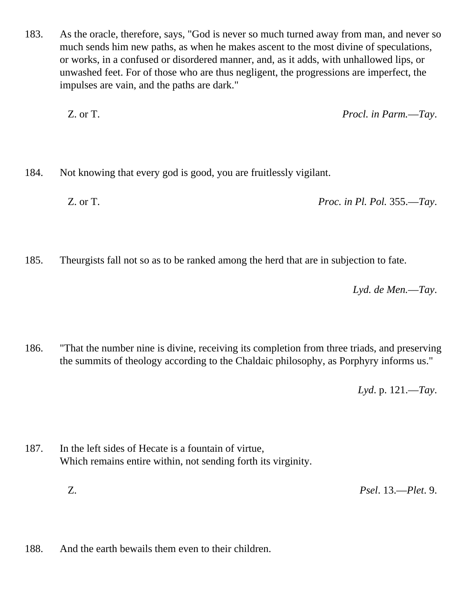183. As the oracle, therefore, says, "God is never so much turned away from man, and never so much sends him new paths, as when he makes ascent to the most divine of speculations, or works, in a confused or disordered manner, and, as it adds, with unhallowed lips, or unwashed feet. For of those who are thus negligent, the progressions are imperfect, the impulses are vain, and the paths are dark."

Z. or T. *Procl. in Parm.*—*Tay*.

184. Not knowing that every god is good, you are fruitlessly vigilant.

Z. or T. *Proc. in Pl. Pol.* 355.—*Tay*.

185. Theurgists fall not so as to be ranked among the herd that are in subjection to fate.

*Lyd. de Men.*—*Tay*.

186. "That the number nine is divine, receiving its completion from three triads, and preserving the summits of theology according to the Chaldaic philosophy, as Porphyry informs us."

*Lyd*. p. 121.—*Tay*.

- 187. In the left sides of Hecate is a fountain of virtue, Which remains entire within, not sending forth its virginity.
	- Z. *Psel*. 13.—*Plet*. 9.
- 188. And the earth bewails them even to their children.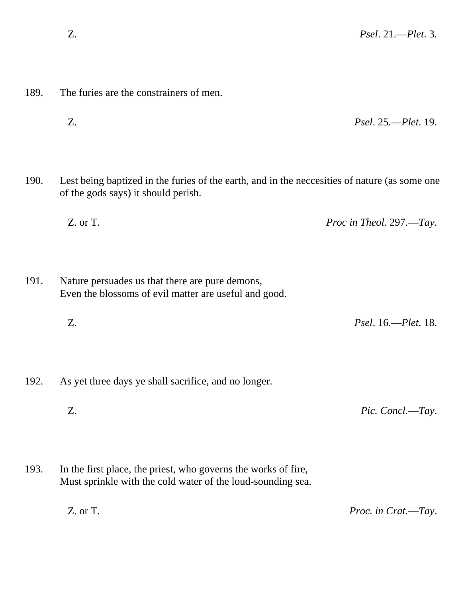189. The furies are the constrainers of men.

|      | Z.                                                                                                                                   | <i>Psel.</i> 25.— <i>Plet.</i> 19. |
|------|--------------------------------------------------------------------------------------------------------------------------------------|------------------------------------|
| 190. | Lest being baptized in the furies of the earth, and in the necessities of nature (as some one<br>of the gods says) it should perish. |                                    |
|      | Z. or T.                                                                                                                             | Proc in Theol. 297.—Tay.           |
| 191. | Nature persuades us that there are pure demons,<br>Even the blossoms of evil matter are useful and good.                             |                                    |
|      | Z.                                                                                                                                   | <i>Psel.</i> 16.— <i>Plet.</i> 18. |
| 192. | As yet three days ye shall sacrifice, and no longer.                                                                                 |                                    |
|      | Z.                                                                                                                                   | Pic. Concl.—Tay.                   |
| 193. | In the first place, the priest, who governs the works of fire,<br>Must sprinkle with the cold water of the loud-sounding sea.        |                                    |
|      | Z. or T.                                                                                                                             | Proc. in Crat.-Tay.                |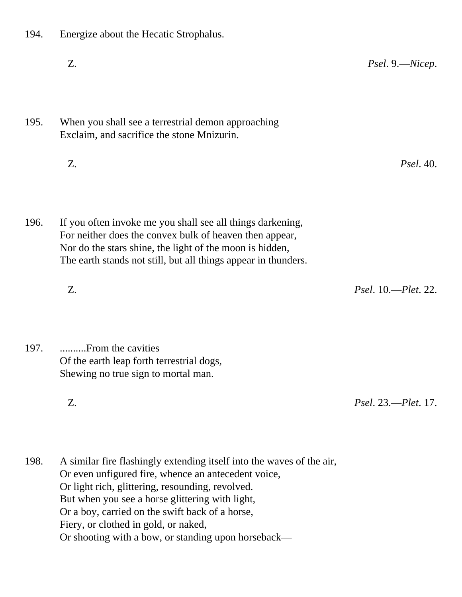- 194. Energize about the Hecatic Strophalus.
- Z. *Psel*. 9.—*Nicep*. 195. When you shall see a terrestrial demon approaching Exclaim, and sacrifice the stone Mnizurin. Z. *Psel*. 40. 196. If you often invoke me you shall see all things darkening, For neither does the convex bulk of heaven then appear, Nor do the stars shine, the light of the moon is hidden,
	- Z. *Psel*. 10.—*Plet*. 22.
- 197. ..........From the cavities Of the earth leap forth terrestrial dogs, Shewing no true sign to mortal man.
	-

Z. *Psel*. 23.—*Plet*. 17.

198. A similar fire flashingly extending itself into the waves of the air, Or even unfigured fire, whence an antecedent voice, Or light rich, glittering, resounding, revolved. But when you see a horse glittering with light, Or a boy, carried on the swift back of a horse, Fiery, or clothed in gold, or naked, Or shooting with a bow, or standing upon horseback—

The earth stands not still, but all things appear in thunders.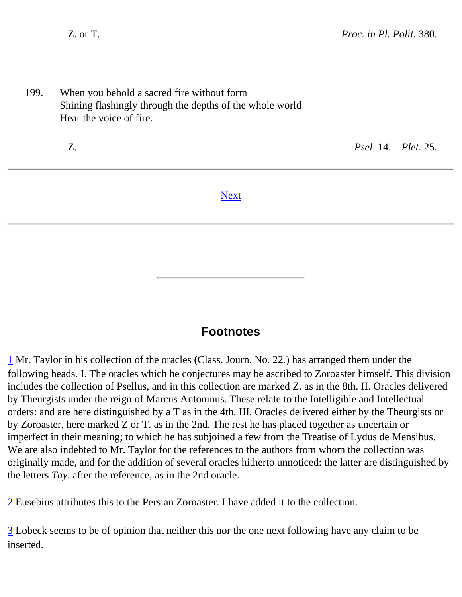199. When you behold a sacred fire without form Shining flashingly through the depths of the whole world Hear the voice of fire.

Z. *Psel*. 14.—*Plet*. 25.

#### [Next](file:///I:/Storage/For FIAOF/OK/SECTION 1/Chaldean Oracles/af09.htm)

#### **Footnotes**

<span id="page-39-0"></span>[1](#page-0-0) Mr. Taylor in his collection of the oracles (Class. Journ. No. 22.) has arranged them under the following heads. I. The oracles which he conjectures may be ascribed to Zoroaster himself. This division includes the collection of Psellus, and in this collection are marked Z. as in the 8th. II. Oracles delivered by Theurgists under the reign of Marcus Antoninus. These relate to the Intelligible and Intellectual orders: and are here distinguished by a T as in the 4th. III. Oracles delivered either by the Theurgists or by Zoroaster, here marked Z or T. as in the 2nd. The rest he has placed together as uncertain or imperfect in their meaning; to which he has subjoined a few from the Treatise of Lydus de Mensibus. We are also indebted to Mr. Taylor for the references to the authors from whom the collection was originally made, and for the addition of several oracles hitherto unnoticed: the latter are distinguished by the letters *Tay*. after the reference, as in the 2nd oracle.

<span id="page-39-1"></span>[2](#page-0-1) Eusebius attributes this to the Persian Zoroaster. I have added it to the collection.

<span id="page-39-3"></span><span id="page-39-2"></span>[3](#page-0-2) Lobeck seems to be of opinion that neither this nor the one next following have any claim to be inserted.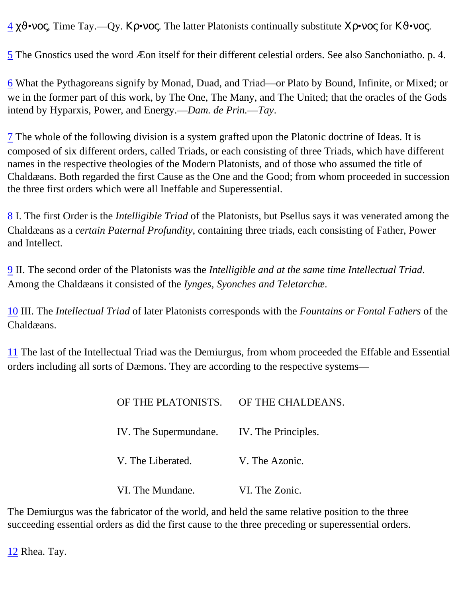[4](#page-0-2) χϑ•νος, Time Tay.—Qy. Κρ•νος. The latter Platonists continually substitute Χρ•νος for Κϑ•νος.

<span id="page-40-0"></span>[5](#page-1-0) The Gnostics used the word Æon itself for their different celestial orders. See also Sanchoniatho. p. 4.

<span id="page-40-1"></span>[6](#page-5-0) What the Pythagoreans signify by Monad, Duad, and Triad—or Plato by Bound, Infinite, or Mixed; or we in the former part of this work, by The One, The Many, and The United; that the oracles of the Gods intend by Hyparxis, Power, and Energy.—*Dam. de Prin.*—*Tay*.

<span id="page-40-2"></span>[7](#page-7-0) The whole of the following division is a system grafted upon the Platonic doctrine of Ideas. It is composed of six different orders, called Triads, or each consisting of three Triads, which have different names in the respective theologies of the Modern Platonists, and of those who assumed the title of Chaldæans. Both regarded the first Cause as the One and the Good; from whom proceeded in succession the three first orders which were all Ineffable and Superessential.

<span id="page-40-3"></span>[8](#page-8-0) I. The first Order is the *Intelligible Triad* of the Platonists, but Psellus says it was venerated among the Chaldæans as a *certain Paternal Profundity*, containing three triads, each consisting of Father, Power and Intellect.

<span id="page-40-4"></span>[9](#page-10-0) II. The second order of the Platonists was the *Intelligible and at the same time Intellectual Triad*. Among the Chaldæans it consisted of the *Iynges, Syonches and Teletarchæ*.

<span id="page-40-5"></span>[10](#page-12-0) III. The *Intellectual Triad* of later Platonists corresponds with the *Fountains or Fontal Fathers* of the Chaldæans.

<span id="page-40-6"></span>[11](#page-13-0) The last of the Intellectual Triad was the Demiurgus, from whom proceeded the Effable and Essential orders including all sorts of Dæmons. They are according to the respective systems—

| OF THE PLATONISTS. OF THE CHALDEANS.      |                |
|-------------------------------------------|----------------|
| IV. The Supermundane. IV. The Principles. |                |
| V. The Liberated.                         | V. The Azonic. |
| VI. The Mundane.                          | VI. The Zonic. |

<span id="page-40-7"></span>The Demiurgus was the fabricator of the world, and held the same relative position to the three succeeding essential orders as did the first cause to the three preceding or superessential orders.